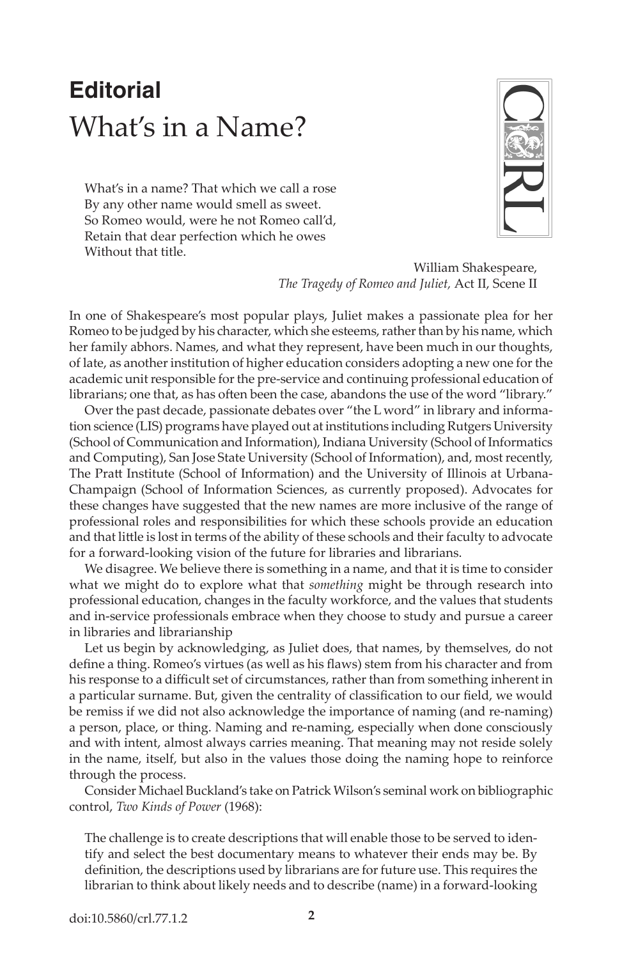## **Editorial** What's in a Name?

What's in a name? That which we call a rose By any other name would smell as sweet. So Romeo would, were he not Romeo call'd, Retain that dear perfection which he owes Without that title.



William Shakespeare, *The Tragedy of Romeo and Juliet,* Act II, Scene II

In one of Shakespeare's most popular plays, Juliet makes a passionate plea for her Romeo to be judged by his character, which she esteems, rather than by his name, which her family abhors. Names, and what they represent, have been much in our thoughts, of late, as another institution of higher education considers adopting a new one for the academic unit responsible for the pre-service and continuing professional education of librarians; one that, as has often been the case, abandons the use of the word "library."

Over the past decade, passionate debates over "the L word" in library and information science (LIS) programs have played out at institutions including Rutgers University (School of Communication and Information), Indiana University (School of Informatics and Computing), San Jose State University (School of Information), and, most recently, The Pratt Institute (School of Information) and the University of Illinois at Urbana-Champaign (School of Information Sciences, as currently proposed). Advocates for these changes have suggested that the new names are more inclusive of the range of professional roles and responsibilities for which these schools provide an education and that little is lost in terms of the ability of these schools and their faculty to advocate for a forward-looking vision of the future for libraries and librarians.

We disagree. We believe there is something in a name, and that it is time to consider what we might do to explore what that *something* might be through research into professional education, changes in the faculty workforce, and the values that students and in-service professionals embrace when they choose to study and pursue a career in libraries and librarianship

Let us begin by acknowledging, as Juliet does, that names, by themselves, do not define a thing. Romeo's virtues (as well as his flaws) stem from his character and from his response to a difficult set of circumstances, rather than from something inherent in a particular surname. But, given the centrality of classification to our field, we would be remiss if we did not also acknowledge the importance of naming (and re-naming) a person, place, or thing. Naming and re-naming, especially when done consciously and with intent, almost always carries meaning. That meaning may not reside solely in the name, itself, but also in the values those doing the naming hope to reinforce through the process.

Consider Michael Buckland's take on Patrick Wilson's seminal work on bibliographic control, *Two Kinds of Power* (1968):

The challenge is to create descriptions that will enable those to be served to identify and select the best documentary means to whatever their ends may be. By definition, the descriptions used by librarians are for future use. This requires the librarian to think about likely needs and to describe (name) in a forward-looking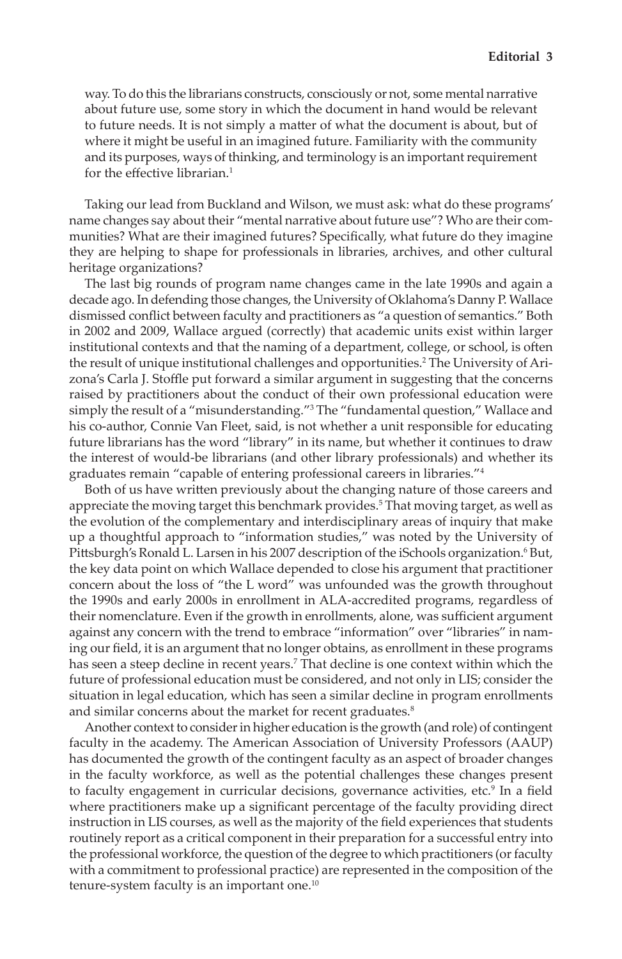way. To do this the librarians constructs, consciously or not, some mental narrative about future use, some story in which the document in hand would be relevant to future needs. It is not simply a matter of what the document is about, but of where it might be useful in an imagined future. Familiarity with the community and its purposes, ways of thinking, and terminology is an important requirement for the effective librarian.<sup>1</sup>

Taking our lead from Buckland and Wilson, we must ask: what do these programs' name changes say about their "mental narrative about future use"? Who are their communities? What are their imagined futures? Specifically, what future do they imagine they are helping to shape for professionals in libraries, archives, and other cultural heritage organizations?

The last big rounds of program name changes came in the late 1990s and again a decade ago. In defending those changes, the University of Oklahoma's Danny P. Wallace dismissed conflict between faculty and practitioners as "a question of semantics." Both in 2002 and 2009, Wallace argued (correctly) that academic units exist within larger institutional contexts and that the naming of a department, college, or school, is often the result of unique institutional challenges and opportunities.<sup>2</sup> The University of Arizona's Carla J. Stoffle put forward a similar argument in suggesting that the concerns raised by practitioners about the conduct of their own professional education were simply the result of a "misunderstanding."<sup>3</sup> The "fundamental question," Wallace and his co-author, Connie Van Fleet, said, is not whether a unit responsible for educating future librarians has the word "library" in its name, but whether it continues to draw the interest of would-be librarians (and other library professionals) and whether its graduates remain "capable of entering professional careers in libraries."<sup>4</sup>

Both of us have written previously about the changing nature of those careers and appreciate the moving target this benchmark provides.<sup>5</sup> That moving target, as well as the evolution of the complementary and interdisciplinary areas of inquiry that make up a thoughtful approach to "information studies," was noted by the University of Pittsburgh's Ronald L. Larsen in his 2007 description of the iSchools organization.<sup>6</sup> But, the key data point on which Wallace depended to close his argument that practitioner concern about the loss of "the L word" was unfounded was the growth throughout the 1990s and early 2000s in enrollment in ALA-accredited programs, regardless of their nomenclature. Even if the growth in enrollments, alone, was sufficient argument against any concern with the trend to embrace "information" over "libraries" in naming our field, it is an argument that no longer obtains, as enrollment in these programs has seen a steep decline in recent years.<sup>7</sup> That decline is one context within which the future of professional education must be considered, and not only in LIS; consider the situation in legal education, which has seen a similar decline in program enrollments and similar concerns about the market for recent graduates.<sup>8</sup>

Another context to consider in higher education is the growth (and role) of contingent faculty in the academy. The American Association of University Professors (AAUP) has documented the growth of the contingent faculty as an aspect of broader changes in the faculty workforce, as well as the potential challenges these changes present to faculty engagement in curricular decisions, governance activities, etc.<sup>9</sup> In a field where practitioners make up a significant percentage of the faculty providing direct instruction in LIS courses, as well as the majority of the field experiences that students routinely report as a critical component in their preparation for a successful entry into the professional workforce, the question of the degree to which practitioners (or faculty with a commitment to professional practice) are represented in the composition of the tenure-system faculty is an important one.<sup>10</sup>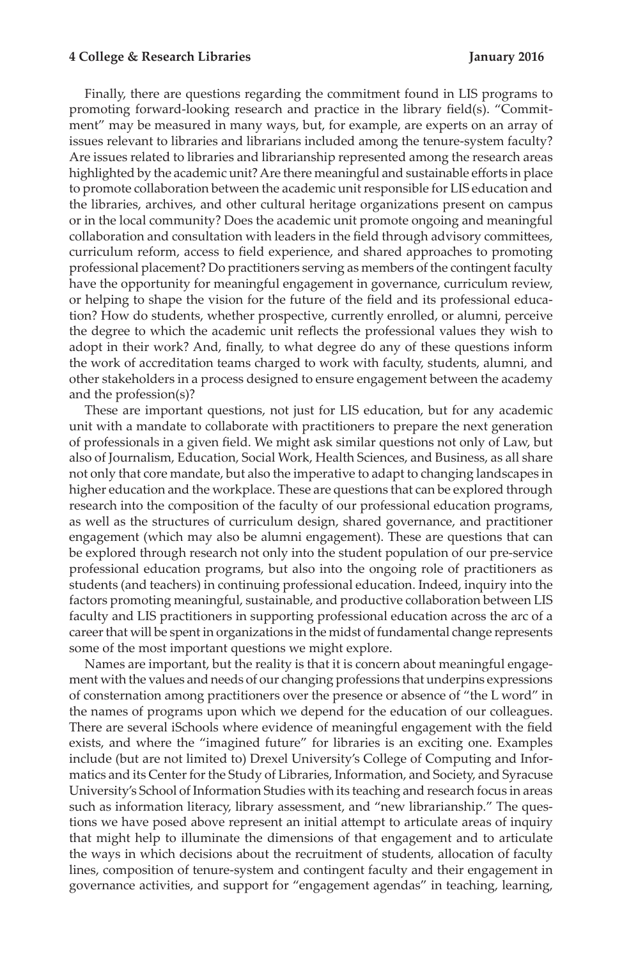## **4 College & Research Libraries January 2016**

Finally, there are questions regarding the commitment found in LIS programs to promoting forward-looking research and practice in the library field(s). "Commitment" may be measured in many ways, but, for example, are experts on an array of issues relevant to libraries and librarians included among the tenure-system faculty? Are issues related to libraries and librarianship represented among the research areas highlighted by the academic unit? Are there meaningful and sustainable efforts in place to promote collaboration between the academic unit responsible for LIS education and the libraries, archives, and other cultural heritage organizations present on campus or in the local community? Does the academic unit promote ongoing and meaningful collaboration and consultation with leaders in the field through advisory committees, curriculum reform, access to field experience, and shared approaches to promoting professional placement? Do practitioners serving as members of the contingent faculty have the opportunity for meaningful engagement in governance, curriculum review, or helping to shape the vision for the future of the field and its professional education? How do students, whether prospective, currently enrolled, or alumni, perceive the degree to which the academic unit reflects the professional values they wish to adopt in their work? And, finally, to what degree do any of these questions inform the work of accreditation teams charged to work with faculty, students, alumni, and other stakeholders in a process designed to ensure engagement between the academy and the profession(s)?

These are important questions, not just for LIS education, but for any academic unit with a mandate to collaborate with practitioners to prepare the next generation of professionals in a given field. We might ask similar questions not only of Law, but also of Journalism, Education, Social Work, Health Sciences, and Business, as all share not only that core mandate, but also the imperative to adapt to changing landscapes in higher education and the workplace. These are questions that can be explored through research into the composition of the faculty of our professional education programs, as well as the structures of curriculum design, shared governance, and practitioner engagement (which may also be alumni engagement). These are questions that can be explored through research not only into the student population of our pre-service professional education programs, but also into the ongoing role of practitioners as students (and teachers) in continuing professional education. Indeed, inquiry into the factors promoting meaningful, sustainable, and productive collaboration between LIS faculty and LIS practitioners in supporting professional education across the arc of a career that will be spent in organizations in the midst of fundamental change represents some of the most important questions we might explore.

Names are important, but the reality is that it is concern about meaningful engagement with the values and needs of our changing professions that underpins expressions of consternation among practitioners over the presence or absence of "the L word" in the names of programs upon which we depend for the education of our colleagues. There are several iSchools where evidence of meaningful engagement with the field exists, and where the "imagined future" for libraries is an exciting one. Examples include (but are not limited to) Drexel University's College of Computing and Informatics and its Center for the Study of Libraries, Information, and Society, and Syracuse University's School of Information Studies with its teaching and research focus in areas such as information literacy, library assessment, and "new librarianship." The questions we have posed above represent an initial attempt to articulate areas of inquiry that might help to illuminate the dimensions of that engagement and to articulate the ways in which decisions about the recruitment of students, allocation of faculty lines, composition of tenure-system and contingent faculty and their engagement in governance activities, and support for "engagement agendas" in teaching, learning,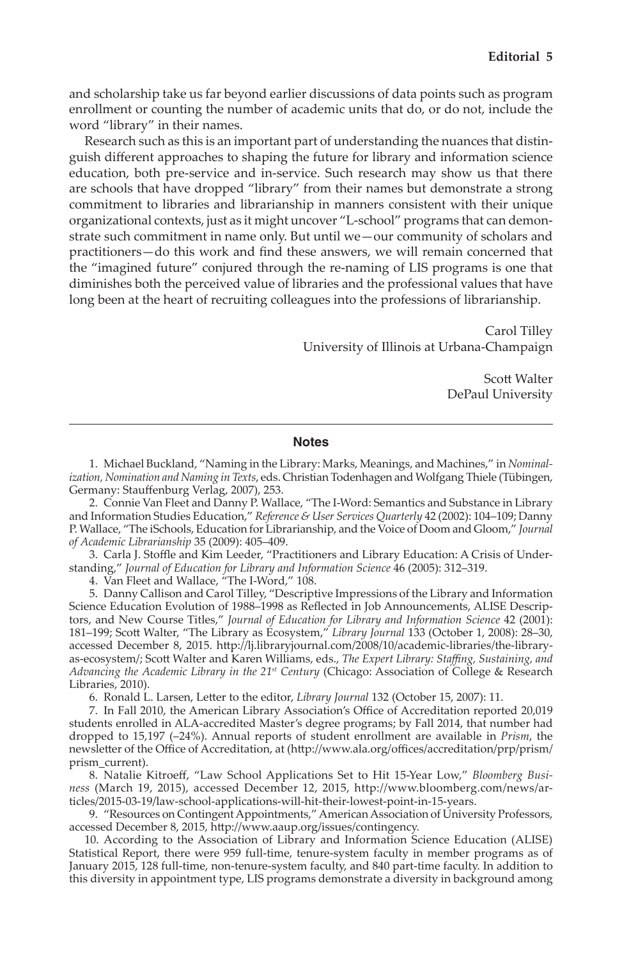and scholarship take us far beyond earlier discussions of data points such as program enrollment or counting the number of academic units that do, or do not, include the word "library" in their names.

Research such as this is an important part of understanding the nuances that distinguish different approaches to shaping the future for library and information science education, both pre-service and in-service. Such research may show us that there are schools that have dropped "library" from their names but demonstrate a strong commitment to libraries and librarianship in manners consistent with their unique organizational contexts, just as it might uncover "L-school" programs that can demonstrate such commitment in name only. But until we—our community of scholars and practitioners—do this work and find these answers, we will remain concerned that the "imagined future" conjured through the re-naming of LIS programs is one that diminishes both the perceived value of libraries and the professional values that have long been at the heart of recruiting colleagues into the professions of librarianship.

> Carol Tilley University of Illinois at Urbana-Champaign

> > Scott Walter DePaul University

## **Notes**

 1. Michael Buckland, "Naming in the Library: Marks, Meanings, and Machines," in *Nominalization, Nomination and Naming in Texts*, eds. Christian Todenhagen and Wolfgang Thiele (Tübingen, Germany: Stauffenburg Verlag, 2007), 253.

 2. Connie Van Fleet and Danny P. Wallace, "The I-Word: Semantics and Substance in Library and Information Studies Education," *Reference & User Services Quarterly* 42 (2002): 104–109; Danny P. Wallace, "The iSchools, Education for Librarianship, and the Voice of Doom and Gloom," *Journal of Academic Librarianship* 35 (2009): 405–409.

 3. Carla J. Stoffle and Kim Leeder, "Practitioners and Library Education: A Crisis of Understanding," *Journal of Education for Library and Information Science* 46 (2005): 312–319.

4. Van Fleet and Wallace, "The I-Word," 108.

 5. Danny Callison and Carol Tilley, "Descriptive Impressions of the Library and Information Science Education Evolution of 1988–1998 as Reflected in Job Announcements, ALISE Descriptors, and New Course Titles," *Journal of Education for Library and Information Science* 42 (2001): 181–199; Scott Walter, "The Library as Ecosystem," *Library Journal* 133 (October 1, 2008): 28–30, accessed December 8, 2015. http://lj.libraryjournal.com/2008/10/academic-libraries/the-libraryas-ecosystem/; Scott Walter and Karen Williams, eds., *The Expert Library: Staffing, Sustaining, and Advancing the Academic Library in the 21st Century* (Chicago: Association of College & Research Libraries, 2010).

6. Ronald L. Larsen, Letter to the editor, *Library Journal* 132 (October 15, 2007): 11.

 7. In Fall 2010, the American Library Association's Office of Accreditation reported 20,019 students enrolled in ALA-accredited Master's degree programs; by Fall 2014, that number had dropped to 15,197 (–24%). Annual reports of student enrollment are available in *Prism*, the newsletter of the Office of Accreditation, at (http://www.ala.org/offices/accreditation/prp/prism/ prism\_current).

 8. Natalie Kitroeff, "Law School Applications Set to Hit 15-Year Low," *Bloomberg Business* (March 19, 2015), accessed December 12, 2015, http://www.bloomberg.com/news/articles/2015-03-19/law-school-applications-will-hit-their-lowest-point-in-15-years.

 9. "Resources on Contingent Appointments," American Association of University Professors, accessed December 8, 2015, http://www.aaup.org/issues/contingency.

 10. According to the Association of Library and Information Science Education (ALISE) Statistical Report, there were 959 full-time, tenure-system faculty in member programs as of January 2015, 128 full-time, non-tenure-system faculty, and 840 part-time faculty. In addition to this diversity in appointment type, LIS programs demonstrate a diversity in background among